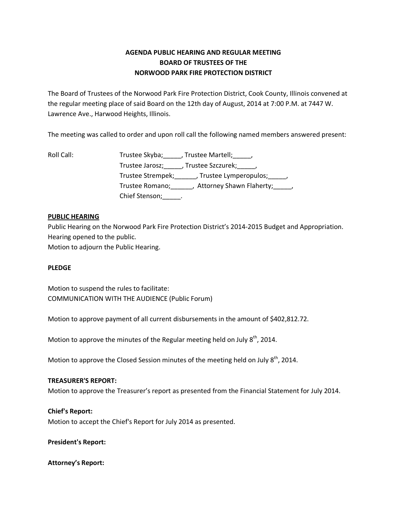# **AGENDA PUBLIC HEARING AND REGULAR MEETING BOARD OF TRUSTEES OF THE NORWOOD PARK FIRE PROTECTION DISTRICT**

The Board of Trustees of the Norwood Park Fire Protection District, Cook County, Illinois convened at the regular meeting place of said Board on the 12th day of August, 2014 at 7:00 P.M. at 7447 W. Lawrence Ave., Harwood Heights, Illinois.

The meeting was called to order and upon roll call the following named members answered present:

Roll Call: Trustee Skyba; Frustee Martell; Frustee Martell; Trustee Jarosz;\_\_\_\_\_, Trustee Szczurek;\_\_\_\_\_, Trustee Strempek;\_\_\_\_\_\_, Trustee Lymperopulos;\_\_\_\_\_, Trustee Romano;\_\_\_\_\_\_, Attorney Shawn Flaherty;\_\_\_\_\_, Chief Stenson; \_\_\_\_\_\_.

## **PUBLIC HEARING**

Public Hearing on the Norwood Park Fire Protection District's 2014-2015 Budget and Appropriation. Hearing opened to the public. Motion to adjourn the Public Hearing.

## **PLEDGE**

Motion to suspend the rules to facilitate: COMMUNICATION WITH THE AUDIENCE (Public Forum)

Motion to approve payment of all current disbursements in the amount of \$402,812.72.

Motion to approve the minutes of the Regular meeting held on July  $8<sup>th</sup>$ , 2014.

Motion to approve the Closed Session minutes of the meeting held on July  $8^{th}$ , 2014.

## **TREASURER'S REPORT:**

Motion to approve the Treasurer's report as presented from the Financial Statement for July 2014.

## **Chief's Report:**

Motion to accept the Chief's Report for July 2014 as presented.

**President's Report:**

**Attorney's Report:**